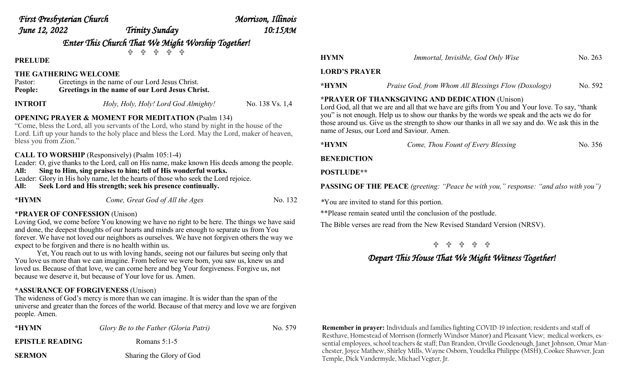|                                                                                                                                                                                                                                                                                                                                                      | <b>First Presbyterian Church</b>                                                                   | Morrison, Illinois |                                            |
|------------------------------------------------------------------------------------------------------------------------------------------------------------------------------------------------------------------------------------------------------------------------------------------------------------------------------------------------------|----------------------------------------------------------------------------------------------------|--------------------|--------------------------------------------|
| June 12, 2022                                                                                                                                                                                                                                                                                                                                        | Trinity Sunday                                                                                     | 10:15АМ            |                                            |
|                                                                                                                                                                                                                                                                                                                                                      | Enter This Church That We Might Worship Together!                                                  |                    |                                            |
| <b>PRELUDE</b>                                                                                                                                                                                                                                                                                                                                       | 帝<br>╬<br>帝<br>유<br>유                                                                              |                    | <b>HYMN</b>                                |
|                                                                                                                                                                                                                                                                                                                                                      | <b>THE GATHERING WELCOME</b>                                                                       |                    | <b>LORD'S PRAYER</b>                       |
| Pastor:<br>People:                                                                                                                                                                                                                                                                                                                                   | Greetings in the name of our Lord Jesus Christ.<br>Greetings in the name of our Lord Jesus Christ. |                    | *HYMN                                      |
| <b>INTROIT</b>                                                                                                                                                                                                                                                                                                                                       | Holy, Holy, Holy! Lord God Almighty!                                                               | No. 138 Vs. 1,4    | *PRAYER OF THAN<br>Lord God, all that we a |
| <b>OPENING PRAYER &amp; MOMENT FOR MEDITATION (Psalm 134)</b><br>"Come, bless the Lord, all you servants of the Lord, who stand by night in the house of the<br>Lord. Lift up your hands to the holy place and bless the Lord. May the Lord, maker of heaven,                                                                                        | you" is not enough. He<br>those around us. Give u<br>name of Jesus, our Lore                       |                    |                                            |
| bless you from Zion."                                                                                                                                                                                                                                                                                                                                | *HYMN                                                                                              |                    |                                            |
| <b>CALL TO WORSHIP</b> (Responsively) (Psalm 105:1-4)<br>Leader: O, give thanks to the Lord, call on His name, make known His deeds among the people.                                                                                                                                                                                                | <b>BENEDICTION</b>                                                                                 |                    |                                            |
| Sing to Him, sing praises to him; tell of His wonderful works.<br>All:                                                                                                                                                                                                                                                                               | <b>POSTLUDE**</b>                                                                                  |                    |                                            |
| Leader: Glory in His holy name, let the hearts of those who seek the Lord rejoice.<br>All:<br>Seek Lord and His strength; seek his presence continually.                                                                                                                                                                                             | <b>PASSING OF THE P</b>                                                                            |                    |                                            |
| *HYMN                                                                                                                                                                                                                                                                                                                                                | Come, Great God of All the Ages                                                                    | No. 132            | *You are invited to sta                    |
| *PRAYER OF CONFESSION (Unison)                                                                                                                                                                                                                                                                                                                       | **Please remain seated                                                                             |                    |                                            |
| Loving God, we come before You knowing we have no right to be here. The things we have said<br>and done, the deepest thoughts of our hearts and minds are enough to separate us from You<br>forever. We have not loved our neighbors as ourselves. We have not forgiven others the way we<br>expect to be forgiven and there is no health within us. | The Bible verses are re                                                                            |                    |                                            |
| Yet, You reach out to us with loving hands, seeing not our failures but seeing only that<br>You love us more than we can imagine. From before we were born, you saw us, knew us and<br>loved us. Because of that love, we can come here and beg Your forgiveness. Forgive us, not                                                                    | Depa                                                                                               |                    |                                            |

### **\*ASSURANCE OF FORGIVENESS** (Unison)

because we deserve it, but because of Your love for us. Amen.

The wideness of God's mercy is more than we can imagine. It is wider than the span of the universe and greater than the forces of the world. Because of that mercy and love we are forgiven people. Amen.

| *HYMN                  | Glory Be to the Father (Gloria Patri) | No. 579 |
|------------------------|---------------------------------------|---------|
| <b>EPISTLE READING</b> | Romans $5:1-5$                        |         |
| <b>SERMON</b>          | Sharing the Glory of God              |         |

| <b>HYMN</b>                                 | Immortal, Invisible, God Only Wise                                                                                                                                                                                                                                                                                                                                                                   | No. 263 |
|---------------------------------------------|------------------------------------------------------------------------------------------------------------------------------------------------------------------------------------------------------------------------------------------------------------------------------------------------------------------------------------------------------------------------------------------------------|---------|
| <b>LORD'S PRAYER</b>                        |                                                                                                                                                                                                                                                                                                                                                                                                      |         |
| *HYMN                                       | Praise God, from Whom All Blessings Flow (Doxology)                                                                                                                                                                                                                                                                                                                                                  | No. 592 |
|                                             | *PRAYER OF THANKSGIVING AND DEDICATION (Unison)<br>Lord God, all that we are and all that we have are gifts from You and Your love. To say, "thank<br>you" is not enough. Help us to show our thanks by the words we speak and the acts we do for<br>those around us. Give us the strength to show our thanks in all we say and do. We ask this in the<br>name of Jesus, our Lord and Saviour. Amen. |         |
| *HYMN                                       | Come, Thou Fount of Every Blessing                                                                                                                                                                                                                                                                                                                                                                   | No. 356 |
| <b>BENEDICTION</b>                          |                                                                                                                                                                                                                                                                                                                                                                                                      |         |
| <b>POSTLUDE**</b>                           |                                                                                                                                                                                                                                                                                                                                                                                                      |         |
|                                             | <b>PASSING OF THE PEACE</b> (greeting: "Peace be with you," response: "and also with you")                                                                                                                                                                                                                                                                                                           |         |
| *You are invited to stand for this portion. |                                                                                                                                                                                                                                                                                                                                                                                                      |         |
|                                             | **Please remain seated until the conclusion of the postlude.                                                                                                                                                                                                                                                                                                                                         |         |
|                                             | The Bible verses are read from the New Revised Standard Version (NRSV).                                                                                                                                                                                                                                                                                                                              |         |
|                                             |                                                                                                                                                                                                                                                                                                                                                                                                      |         |
|                                             | Depart This House That We Might Witness Together!                                                                                                                                                                                                                                                                                                                                                    |         |
|                                             |                                                                                                                                                                                                                                                                                                                                                                                                      |         |

**Remember in prayer:** Individuals and families fighting COVID-19 infection; residents and staff of Resthave, Homestead of Morrison (formerly Windsor Manor) and Pleasant View; medical workers, essential employees, school teachers & staff; Dan Brandon, Orville Goodenough, Janet Johnson, Omar Manchester, Joyce Mathew, Shirley Mills, Wayne Osborn, Youdelka Philippe (MSH), Cookee Shawver, Jean Temple, Dick Vandermyde, Michael Vegter, Jr.